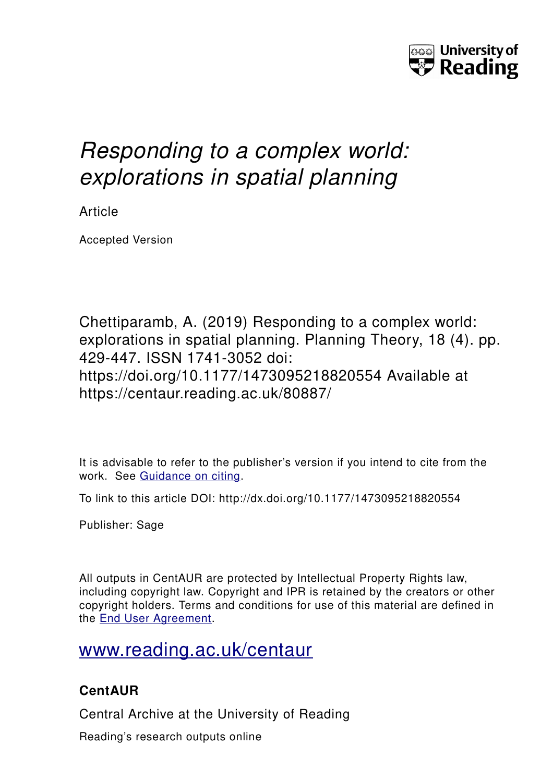

# *Responding to a complex world: explorations in spatial planning*

Article

Accepted Version

Chettiparamb, A. (2019) Responding to a complex world: explorations in spatial planning. Planning Theory, 18 (4). pp. 429-447. ISSN 1741-3052 doi: https://doi.org/10.1177/1473095218820554 Available at https://centaur.reading.ac.uk/80887/

It is advisable to refer to the publisher's version if you intend to cite from the work. See [Guidance on citing.](http://centaur.reading.ac.uk/71187/10/CentAUR%20citing%20guide.pdf)

To link to this article DOI: http://dx.doi.org/10.1177/1473095218820554

Publisher: Sage

All outputs in CentAUR are protected by Intellectual Property Rights law, including copyright law. Copyright and IPR is retained by the creators or other copyright holders. Terms and conditions for use of this material are defined in the [End User Agreement.](http://centaur.reading.ac.uk/licence)

# [www.reading.ac.uk/centaur](http://www.reading.ac.uk/centaur)

# **CentAUR**

Central Archive at the University of Reading

Reading's research outputs online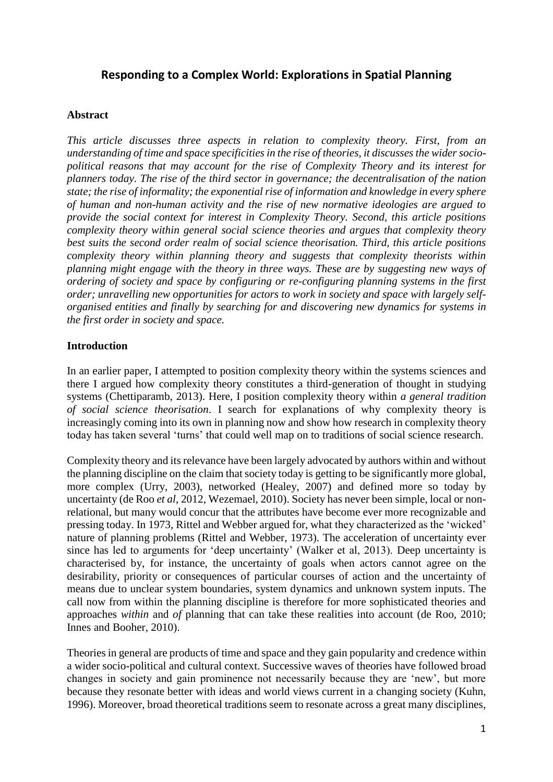## **Responding to a Complex World: Explorations in Spatial Planning**

#### **Abstract**

*This article discusses three aspects in relation to complexity theory. First, from an understanding of time and space specificities in the rise of theories, it discusses the wider sociopolitical reasons that may account for the rise of Complexity Theory and its interest for planners today. The rise of the third sector in governance; the decentralisation of the nation state; the rise of informality; the exponential rise of information and knowledge in every sphere of human and non-human activity and the rise of new normative ideologies are argued to provide the social context for interest in Complexity Theory. Second, this article positions complexity theory within general social science theories and argues that complexity theory best suits the second order realm of social science theorisation. Third, this article positions complexity theory within planning theory and suggests that complexity theorists within planning might engage with the theory in three ways. These are by suggesting new ways of ordering of society and space by configuring or re-configuring planning systems in the first order; unravelling new opportunities for actors to work in society and space with largely selforganised entities and finally by searching for and discovering new dynamics for systems in the first order in society and space.*

#### **Introduction**

In an earlier paper, I attempted to position complexity theory within the systems sciences and there I argued how complexity theory constitutes a third-generation of thought in studying systems (Chettiparamb, 2013). Here, I position complexity theory within *a general tradition of social science theorisation*. I search for explanations of why complexity theory is increasingly coming into its own in planning now and show how research in complexity theory today has taken several 'turns' that could well map on to traditions of social science research.

Complexity theory and its relevance have been largely advocated by authors within and without the planning discipline on the claim that society today is getting to be significantly more global, more complex (Urry, 2003), networked (Healey, 2007) and defined more so today by uncertainty (de Roo *et al*, 2012, Wezemael, 2010). Society has never been simple, local or nonrelational, but many would concur that the attributes have become ever more recognizable and pressing today. In 1973, Rittel and Webber argued for, what they characterized as the 'wicked' nature of planning problems (Rittel and Webber, 1973). The acceleration of uncertainty ever since has led to arguments for 'deep uncertainty' (Walker et al, 2013). Deep uncertainty is characterised by, for instance, the uncertainty of goals when actors cannot agree on the desirability, priority or consequences of particular courses of action and the uncertainty of means due to unclear system boundaries, system dynamics and unknown system inputs. The call now from within the planning discipline is therefore for more sophisticated theories and approaches *within* and *of* planning that can take these realities into account (de Roo, 2010; Innes and Booher, 2010).

Theories in general are products of time and space and they gain popularity and credence within a wider socio-political and cultural context. Successive waves of theories have followed broad changes in society and gain prominence not necessarily because they are 'new', but more because they resonate better with ideas and world views current in a changing society (Kuhn, 1996). Moreover, broad theoretical traditions seem to resonate across a great many disciplines,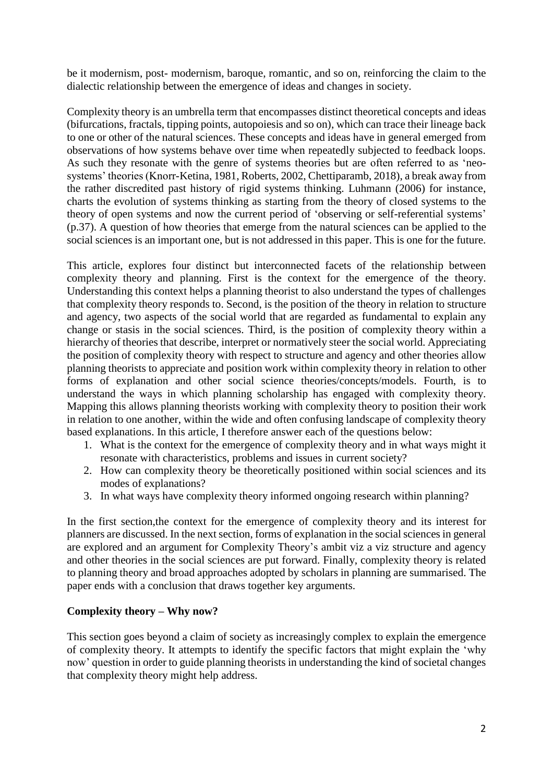be it modernism, post- modernism, baroque, romantic, and so on, reinforcing the claim to the dialectic relationship between the emergence of ideas and changes in society.

Complexity theory is an umbrella term that encompasses distinct theoretical concepts and ideas (bifurcations, fractals, tipping points, autopoiesis and so on), which can trace their lineage back to one or other of the natural sciences. These concepts and ideas have in general emerged from observations of how systems behave over time when repeatedly subjected to feedback loops. As such they resonate with the genre of systems theories but are often referred to as 'neosystems' theories (Knorr-Ketina, 1981, Roberts, 2002, Chettiparamb, 2018), a break away from the rather discredited past history of rigid systems thinking. Luhmann (2006) for instance, charts the evolution of systems thinking as starting from the theory of closed systems to the theory of open systems and now the current period of 'observing or self-referential systems' (p.37). A question of how theories that emerge from the natural sciences can be applied to the social sciences is an important one, but is not addressed in this paper. This is one for the future.

This article, explores four distinct but interconnected facets of the relationship between complexity theory and planning. First is the context for the emergence of the theory. Understanding this context helps a planning theorist to also understand the types of challenges that complexity theory responds to. Second, is the position of the theory in relation to structure and agency, two aspects of the social world that are regarded as fundamental to explain any change or stasis in the social sciences. Third, is the position of complexity theory within a hierarchy of theories that describe, interpret or normatively steer the social world. Appreciating the position of complexity theory with respect to structure and agency and other theories allow planning theorists to appreciate and position work within complexity theory in relation to other forms of explanation and other social science theories/concepts/models. Fourth, is to understand the ways in which planning scholarship has engaged with complexity theory. Mapping this allows planning theorists working with complexity theory to position their work in relation to one another, within the wide and often confusing landscape of complexity theory based explanations. In this article, I therefore answer each of the questions below:

- 1. What is the context for the emergence of complexity theory and in what ways might it resonate with characteristics, problems and issues in current society?
- 2. How can complexity theory be theoretically positioned within social sciences and its modes of explanations?
- 3. In what ways have complexity theory informed ongoing research within planning?

In the first section,the context for the emergence of complexity theory and its interest for planners are discussed. In the next section, forms of explanation in the social sciences in general are explored and an argument for Complexity Theory's ambit viz a viz structure and agency and other theories in the social sciences are put forward. Finally, complexity theory is related to planning theory and broad approaches adopted by scholars in planning are summarised. The paper ends with a conclusion that draws together key arguments.

#### **Complexity theory – Why now?**

This section goes beyond a claim of society as increasingly complex to explain the emergence of complexity theory. It attempts to identify the specific factors that might explain the 'why now' question in order to guide planning theorists in understanding the kind of societal changes that complexity theory might help address.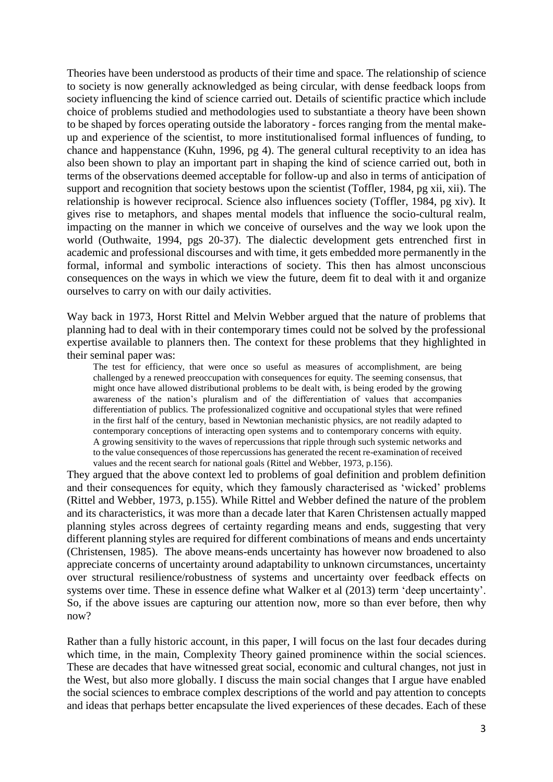Theories have been understood as products of their time and space. The relationship of science to society is now generally acknowledged as being circular, with dense feedback loops from society influencing the kind of science carried out. Details of scientific practice which include choice of problems studied and methodologies used to substantiate a theory have been shown to be shaped by forces operating outside the laboratory - forces ranging from the mental makeup and experience of the scientist, to more institutionalised formal influences of funding, to chance and happenstance (Kuhn, 1996, pg 4). The general cultural receptivity to an idea has also been shown to play an important part in shaping the kind of science carried out, both in terms of the observations deemed acceptable for follow-up and also in terms of anticipation of support and recognition that society bestows upon the scientist (Toffler, 1984, pg xii, xii). The relationship is however reciprocal. Science also influences society (Toffler, 1984, pg xiv). It gives rise to metaphors, and shapes mental models that influence the socio-cultural realm, impacting on the manner in which we conceive of ourselves and the way we look upon the world (Outhwaite, 1994, pgs 20-37). The dialectic development gets entrenched first in academic and professional discourses and with time, it gets embedded more permanently in the formal, informal and symbolic interactions of society. This then has almost unconscious consequences on the ways in which we view the future, deem fit to deal with it and organize ourselves to carry on with our daily activities.

Way back in 1973, Horst Rittel and Melvin Webber argued that the nature of problems that planning had to deal with in their contemporary times could not be solved by the professional expertise available to planners then. The context for these problems that they highlighted in their seminal paper was:

The test for efficiency, that were once so useful as measures of accomplishment, are being challenged by a renewed preoccupation with consequences for equity. The seeming consensus, that might once have allowed distributional problems to be dealt with, is being eroded by the growing awareness of the nation's pluralism and of the differentiation of values that accompanies differentiation of publics. The professionalized cognitive and occupational styles that were refined in the first half of the century, based in Newtonian mechanistic physics, are not readily adapted to contemporary conceptions of interacting open systems and to contemporary concerns with equity. A growing sensitivity to the waves of repercussions that ripple through such systemic networks and to the value consequences of those repercussions has generated the recent re-examination of received values and the recent search for national goals (Rittel and Webber, 1973, p.156).

They argued that the above context led to problems of goal definition and problem definition and their consequences for equity, which they famously characterised as 'wicked' problems (Rittel and Webber, 1973, p.155). While Rittel and Webber defined the nature of the problem and its characteristics, it was more than a decade later that Karen Christensen actually mapped planning styles across degrees of certainty regarding means and ends, suggesting that very different planning styles are required for different combinations of means and ends uncertainty (Christensen, 1985). The above means-ends uncertainty has however now broadened to also appreciate concerns of uncertainty around adaptability to unknown circumstances, uncertainty over structural resilience/robustness of systems and uncertainty over feedback effects on systems over time. These in essence define what Walker et al (2013) term 'deep uncertainty'. So, if the above issues are capturing our attention now, more so than ever before, then why now?

Rather than a fully historic account, in this paper, I will focus on the last four decades during which time, in the main, Complexity Theory gained prominence within the social sciences. These are decades that have witnessed great social, economic and cultural changes, not just in the West, but also more globally. I discuss the main social changes that I argue have enabled the social sciences to embrace complex descriptions of the world and pay attention to concepts and ideas that perhaps better encapsulate the lived experiences of these decades. Each of these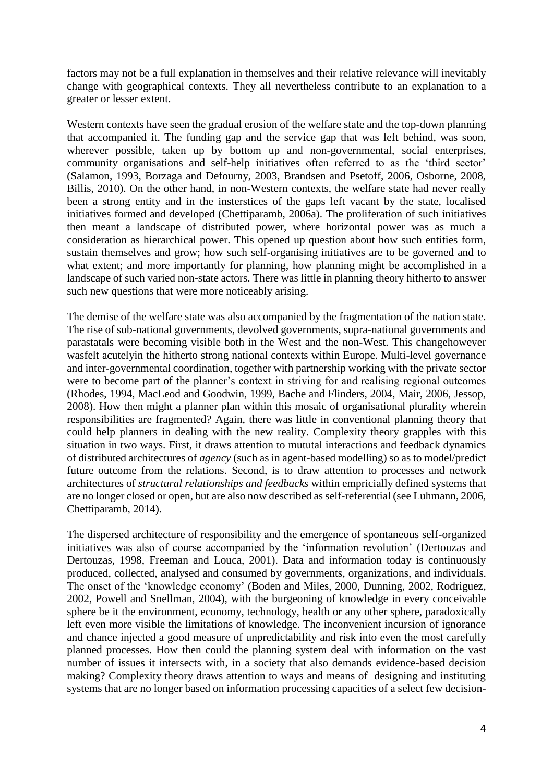factors may not be a full explanation in themselves and their relative relevance will inevitably change with geographical contexts. They all nevertheless contribute to an explanation to a greater or lesser extent.

Western contexts have seen the gradual erosion of the welfare state and the top-down planning that accompanied it. The funding gap and the service gap that was left behind, was soon, wherever possible, taken up by bottom up and non-governmental, social enterprises, community organisations and self-help initiatives often referred to as the 'third sector' (Salamon, 1993, Borzaga and Defourny, 2003, Brandsen and Psetoff, 2006, Osborne, 2008, Billis, 2010). On the other hand, in non-Western contexts, the welfare state had never really been a strong entity and in the insterstices of the gaps left vacant by the state, localised initiatives formed and developed (Chettiparamb, 2006a). The proliferation of such initiatives then meant a landscape of distributed power, where horizontal power was as much a consideration as hierarchical power. This opened up question about how such entities form, sustain themselves and grow; how such self-organising initiatives are to be governed and to what extent; and more importantly for planning, how planning might be accomplished in a landscape of such varied non-state actors. There was little in planning theory hitherto to answer such new questions that were more noticeably arising.

The demise of the welfare state was also accompanied by the fragmentation of the nation state. The rise of sub-national governments, devolved governments, supra-national governments and parastatals were becoming visible both in the West and the non-West. This changehowever wasfelt acutelyin the hitherto strong national contexts within Europe. Multi-level governance and inter-governmental coordination, together with partnership working with the private sector were to become part of the planner's context in striving for and realising regional outcomes (Rhodes, 1994, MacLeod and Goodwin, 1999, Bache and Flinders, 2004, Mair, 2006, Jessop, 2008). How then might a planner plan within this mosaic of organisational plurality wherein responsibilities are fragmented? Again, there was little in conventional planning theory that could help planners in dealing with the new reality. Complexity theory grapples with this situation in two ways. First, it draws attention to mututal interactions and feedback dynamics of distributed architectures of *agency* (such as in agent-based modelling) so as to model/predict future outcome from the relations. Second, is to draw attention to processes and network architectures of *structural relationships and feedbacks* within empricially defined systems that are no longer closed or open, but are also now described as self-referential (see Luhmann, 2006, Chettiparamb, 2014).

The dispersed architecture of responsibility and the emergence of spontaneous self-organized initiatives was also of course accompanied by the 'information revolution' (Dertouzas and Dertouzas, 1998, Freeman and Louca, 2001). Data and information today is continuously produced, collected, analysed and consumed by governments, organizations, and individuals. The onset of the 'knowledge economy' (Boden and Miles, 2000, Dunning, 2002, Rodriguez, 2002, Powell and Snellman, 2004), with the burgeoning of knowledge in every conceivable sphere be it the environment, economy, technology, health or any other sphere, paradoxically left even more visible the limitations of knowledge. The inconvenient incursion of ignorance and chance injected a good measure of unpredictability and risk into even the most carefully planned processes. How then could the planning system deal with information on the vast number of issues it intersects with, in a society that also demands evidence-based decision making? Complexity theory draws attention to ways and means of designing and instituting systems that are no longer based on information processing capacities of a select few decision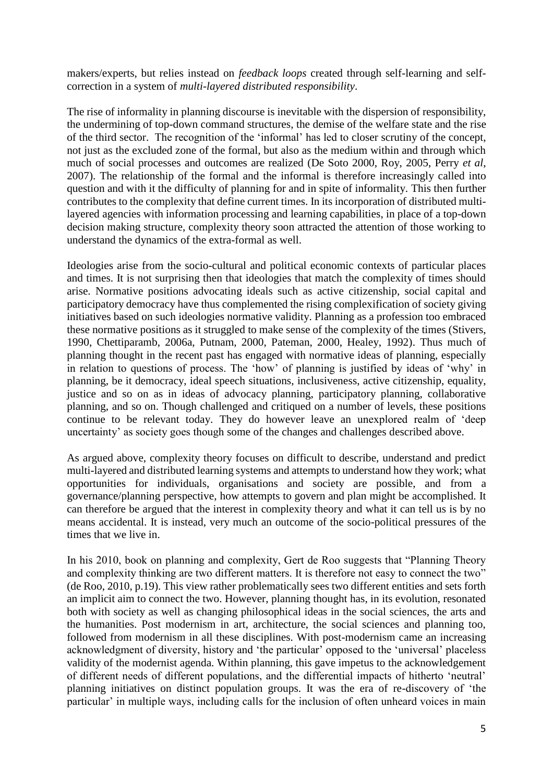makers/experts, but relies instead on *feedback loops* created through self-learning and selfcorrection in a system of *multi-layered distributed responsibility*.

The rise of informality in planning discourse is inevitable with the dispersion of responsibility, the undermining of top-down command structures, the demise of the welfare state and the rise of the third sector. The recognition of the 'informal' has led to closer scrutiny of the concept, not just as the excluded zone of the formal, but also as the medium within and through which much of social processes and outcomes are realized (De Soto 2000, Roy, 2005, Perry *et al*, 2007). The relationship of the formal and the informal is therefore increasingly called into question and with it the difficulty of planning for and in spite of informality. This then further contributes to the complexity that define current times. In its incorporation of distributed multilayered agencies with information processing and learning capabilities, in place of a top-down decision making structure, complexity theory soon attracted the attention of those working to understand the dynamics of the extra-formal as well.

Ideologies arise from the socio-cultural and political economic contexts of particular places and times. It is not surprising then that ideologies that match the complexity of times should arise. Normative positions advocating ideals such as active citizenship, social capital and participatory democracy have thus complemented the rising complexification of society giving initiatives based on such ideologies normative validity. Planning as a profession too embraced these normative positions as it struggled to make sense of the complexity of the times (Stivers, 1990, Chettiparamb, 2006a, Putnam, 2000, Pateman, 2000, Healey, 1992). Thus much of planning thought in the recent past has engaged with normative ideas of planning, especially in relation to questions of process. The 'how' of planning is justified by ideas of 'why' in planning, be it democracy, ideal speech situations, inclusiveness, active citizenship, equality, justice and so on as in ideas of advocacy planning, participatory planning, collaborative planning, and so on. Though challenged and critiqued on a number of levels, these positions continue to be relevant today. They do however leave an unexplored realm of 'deep uncertainty' as society goes though some of the changes and challenges described above.

As argued above, complexity theory focuses on difficult to describe, understand and predict multi-layered and distributed learning systems and attempts to understand how they work; what opportunities for individuals, organisations and society are possible, and from a governance/planning perspective, how attempts to govern and plan might be accomplished. It can therefore be argued that the interest in complexity theory and what it can tell us is by no means accidental. It is instead, very much an outcome of the socio-political pressures of the times that we live in.

In his 2010, book on planning and complexity, Gert de Roo suggests that "Planning Theory and complexity thinking are two different matters. It is therefore not easy to connect the two" (de Roo, 2010, p.19). This view rather problematically sees two different entities and sets forth an implicit aim to connect the two. However, planning thought has, in its evolution, resonated both with society as well as changing philosophical ideas in the social sciences, the arts and the humanities. Post modernism in art, architecture, the social sciences and planning too, followed from modernism in all these disciplines. With post-modernism came an increasing acknowledgment of diversity, history and 'the particular' opposed to the 'universal' placeless validity of the modernist agenda. Within planning, this gave impetus to the acknowledgement of different needs of different populations, and the differential impacts of hitherto 'neutral' planning initiatives on distinct population groups. It was the era of re-discovery of 'the particular' in multiple ways, including calls for the inclusion of often unheard voices in main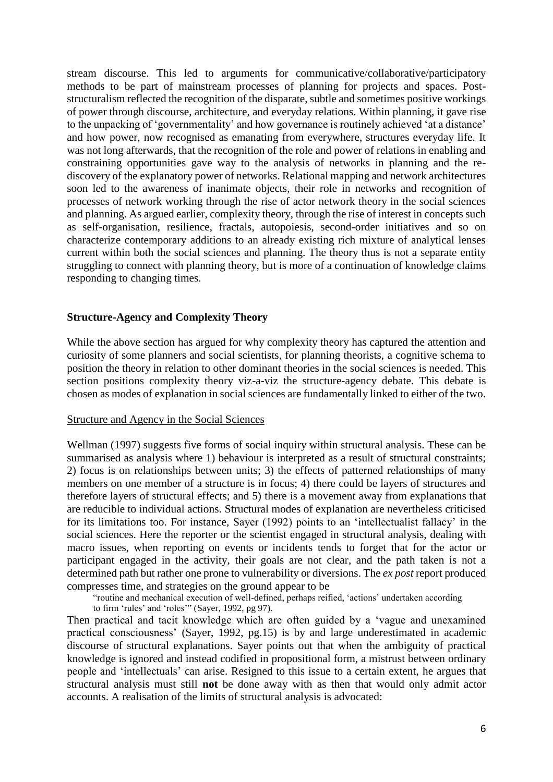stream discourse. This led to arguments for communicative/collaborative/participatory methods to be part of mainstream processes of planning for projects and spaces. Poststructuralism reflected the recognition of the disparate, subtle and sometimes positive workings of power through discourse, architecture, and everyday relations. Within planning, it gave rise to the unpacking of 'governmentality' and how governance is routinely achieved 'at a distance' and how power, now recognised as emanating from everywhere, structures everyday life. It was not long afterwards, that the recognition of the role and power of relations in enabling and constraining opportunities gave way to the analysis of networks in planning and the rediscovery of the explanatory power of networks. Relational mapping and network architectures soon led to the awareness of inanimate objects, their role in networks and recognition of processes of network working through the rise of actor network theory in the social sciences and planning. As argued earlier, complexity theory, through the rise of interest in concepts such as self-organisation, resilience, fractals, autopoiesis, second-order initiatives and so on characterize contemporary additions to an already existing rich mixture of analytical lenses current within both the social sciences and planning. The theory thus is not a separate entity struggling to connect with planning theory, but is more of a continuation of knowledge claims responding to changing times.

#### **Structure-Agency and Complexity Theory**

While the above section has argued for why complexity theory has captured the attention and curiosity of some planners and social scientists, for planning theorists, a cognitive schema to position the theory in relation to other dominant theories in the social sciences is needed. This section positions complexity theory viz-a-viz the structure-agency debate. This debate is chosen as modes of explanation in social sciences are fundamentally linked to either of the two.

#### Structure and Agency in the Social Sciences

Wellman (1997) suggests five forms of social inquiry within structural analysis. These can be summarised as analysis where 1) behaviour is interpreted as a result of structural constraints; 2) focus is on relationships between units; 3) the effects of patterned relationships of many members on one member of a structure is in focus; 4) there could be layers of structures and therefore layers of structural effects; and 5) there is a movement away from explanations that are reducible to individual actions. Structural modes of explanation are nevertheless criticised for its limitations too. For instance, Sayer (1992) points to an 'intellectualist fallacy' in the social sciences. Here the reporter or the scientist engaged in structural analysis, dealing with macro issues, when reporting on events or incidents tends to forget that for the actor or participant engaged in the activity, their goals are not clear, and the path taken is not a determined path but rather one prone to vulnerability or diversions. The *ex post* report produced compresses time, and strategies on the ground appear to be

"routine and mechanical execution of well-defined, perhaps reified, 'actions' undertaken according to firm 'rules' and 'roles'" (Sayer, 1992, pg 97).

Then practical and tacit knowledge which are often guided by a 'vague and unexamined practical consciousness' (Sayer, 1992, pg.15) is by and large underestimated in academic discourse of structural explanations. Sayer points out that when the ambiguity of practical knowledge is ignored and instead codified in propositional form, a mistrust between ordinary people and 'intellectuals' can arise. Resigned to this issue to a certain extent, he argues that structural analysis must still **not** be done away with as then that would only admit actor accounts. A realisation of the limits of structural analysis is advocated: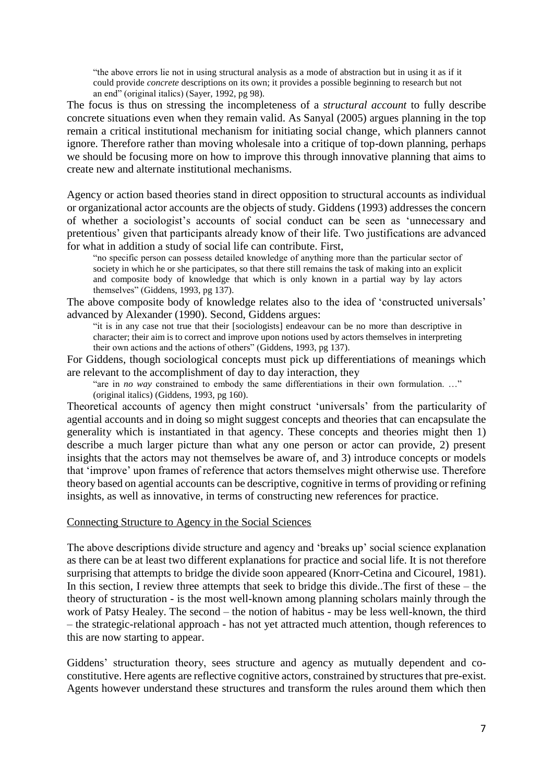"the above errors lie not in using structural analysis as a mode of abstraction but in using it as if it could provide *concrete* descriptions on its own; it provides a possible beginning to research but not an end" (original italics) (Sayer, 1992, pg 98).

The focus is thus on stressing the incompleteness of a *structural account* to fully describe concrete situations even when they remain valid. As Sanyal (2005) argues planning in the top remain a critical institutional mechanism for initiating social change, which planners cannot ignore. Therefore rather than moving wholesale into a critique of top-down planning, perhaps we should be focusing more on how to improve this through innovative planning that aims to create new and alternate institutional mechanisms.

Agency or action based theories stand in direct opposition to structural accounts as individual or organizational actor accounts are the objects of study. Giddens (1993) addresses the concern of whether a sociologist's accounts of social conduct can be seen as 'unnecessary and pretentious' given that participants already know of their life. Two justifications are advanced for what in addition a study of social life can contribute. First,

"no specific person can possess detailed knowledge of anything more than the particular sector of society in which he or she participates, so that there still remains the task of making into an explicit and composite body of knowledge that which is only known in a partial way by lay actors themselves" (Giddens, 1993, pg 137).

The above composite body of knowledge relates also to the idea of 'constructed universals' advanced by Alexander (1990). Second, Giddens argues:

"it is in any case not true that their [sociologists] endeavour can be no more than descriptive in character; their aim is to correct and improve upon notions used by actors themselves in interpreting their own actions and the actions of others" (Giddens, 1993, pg 137).

For Giddens, though sociological concepts must pick up differentiations of meanings which are relevant to the accomplishment of day to day interaction, they

"are in *no way* constrained to embody the same differentiations in their own formulation. …" (original italics) (Giddens, 1993, pg 160).

Theoretical accounts of agency then might construct 'universals' from the particularity of agential accounts and in doing so might suggest concepts and theories that can encapsulate the generality which is instantiated in that agency. These concepts and theories might then 1) describe a much larger picture than what any one person or actor can provide, 2) present insights that the actors may not themselves be aware of, and 3) introduce concepts or models that 'improve' upon frames of reference that actors themselves might otherwise use. Therefore theory based on agential accounts can be descriptive, cognitive in terms of providing or refining insights, as well as innovative, in terms of constructing new references for practice.

#### Connecting Structure to Agency in the Social Sciences

The above descriptions divide structure and agency and 'breaks up' social science explanation as there can be at least two different explanations for practice and social life. It is not therefore surprising that attempts to bridge the divide soon appeared (Knorr-Cetina and Cicourel, 1981). In this section, I review three attempts that seek to bridge this divide..The first of these – the theory of structuration - is the most well-known among planning scholars mainly through the work of Patsy Healey. The second – the notion of habitus - may be less well-known, the third – the strategic-relational approach - has not yet attracted much attention, though references to this are now starting to appear.

Giddens' structuration theory, sees structure and agency as mutually dependent and coconstitutive. Here agents are reflective cognitive actors, constrained by structures that pre-exist. Agents however understand these structures and transform the rules around them which then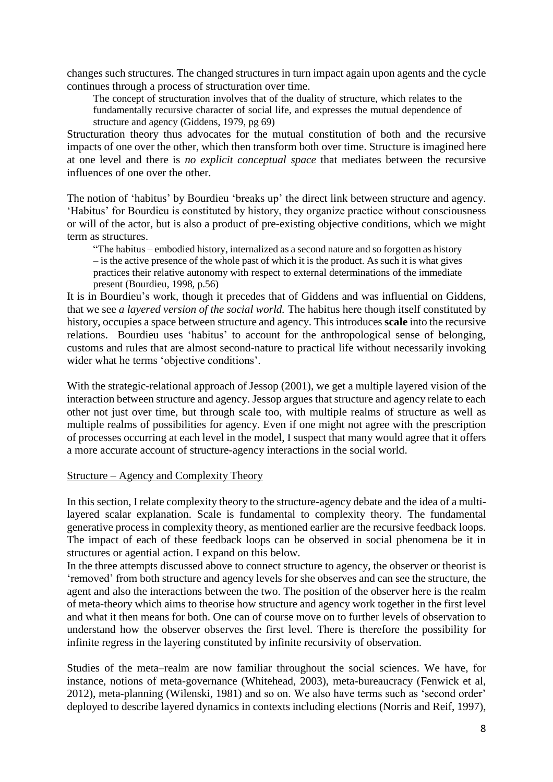changes such structures. The changed structures in turn impact again upon agents and the cycle continues through a process of structuration over time.

The concept of structuration involves that of the duality of structure, which relates to the fundamentally recursive character of social life, and expresses the mutual dependence of structure and agency (Giddens, 1979, pg 69)

Structuration theory thus advocates for the mutual constitution of both and the recursive impacts of one over the other, which then transform both over time. Structure is imagined here at one level and there is *no explicit conceptual space* that mediates between the recursive influences of one over the other.

The notion of 'habitus' by Bourdieu 'breaks up' the direct link between structure and agency. 'Habitus' for Bourdieu is constituted by history, they organize practice without consciousness or will of the actor, but is also a product of pre-existing objective conditions, which we might term as structures.

"The habitus – embodied history, internalized as a second nature and so forgotten as history – is the active presence of the whole past of which it is the product. As such it is what gives practices their relative autonomy with respect to external determinations of the immediate present (Bourdieu, 1998, p.56)

It is in Bourdieu's work, though it precedes that of Giddens and was influential on Giddens, that we see *a layered version of the social world.* The habitus here though itself constituted by history, occupies a space between structure and agency. This introduces **scale** into the recursive relations. Bourdieu uses 'habitus' to account for the anthropological sense of belonging, customs and rules that are almost second-nature to practical life without necessarily invoking wider what he terms 'objective conditions'.

With the strategic-relational approach of Jessop (2001), we get a multiple layered vision of the interaction between structure and agency. Jessop argues that structure and agency relate to each other not just over time, but through scale too, with multiple realms of structure as well as multiple realms of possibilities for agency. Even if one might not agree with the prescription of processes occurring at each level in the model, I suspect that many would agree that it offers a more accurate account of structure-agency interactions in the social world.

#### Structure – Agency and Complexity Theory

In this section, I relate complexity theory to the structure-agency debate and the idea of a multilayered scalar explanation. Scale is fundamental to complexity theory. The fundamental generative process in complexity theory, as mentioned earlier are the recursive feedback loops. The impact of each of these feedback loops can be observed in social phenomena be it in structures or agential action. I expand on this below.

In the three attempts discussed above to connect structure to agency, the observer or theorist is 'removed' from both structure and agency levels for she observes and can see the structure, the agent and also the interactions between the two. The position of the observer here is the realm of meta-theory which aims to theorise how structure and agency work together in the first level and what it then means for both. One can of course move on to further levels of observation to understand how the observer observes the first level. There is therefore the possibility for infinite regress in the layering constituted by infinite recursivity of observation.

Studies of the meta–realm are now familiar throughout the social sciences. We have, for instance, notions of meta-governance (Whitehead, 2003), meta-bureaucracy (Fenwick et al, 2012), meta-planning (Wilenski, 1981) and so on. We also have terms such as 'second order' deployed to describe layered dynamics in contexts including elections (Norris and Reif, 1997),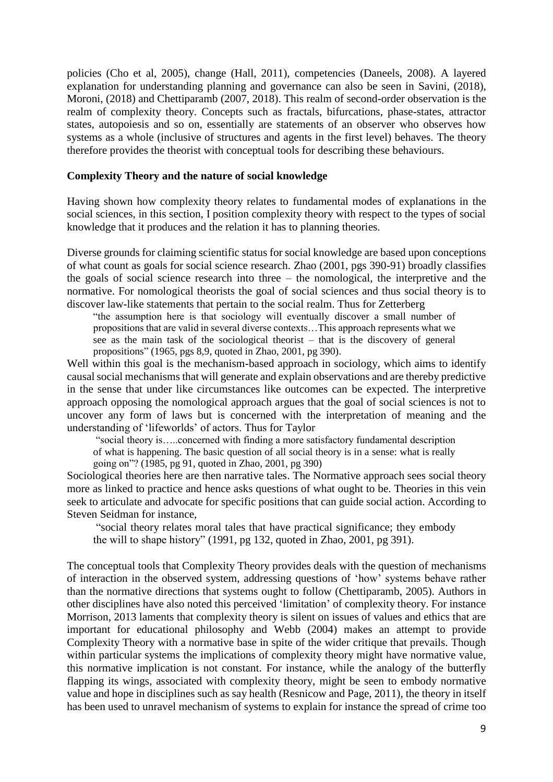policies (Cho et al, 2005), change (Hall, 2011), competencies (Daneels, 2008). A layered explanation for understanding planning and governance can also be seen in Savini, (2018), Moroni, (2018) and Chettiparamb (2007, 2018). This realm of second-order observation is the realm of complexity theory. Concepts such as fractals, bifurcations, phase-states, attractor states, autopoiesis and so on, essentially are statements of an observer who observes how systems as a whole (inclusive of structures and agents in the first level) behaves. The theory therefore provides the theorist with conceptual tools for describing these behaviours.

#### **Complexity Theory and the nature of social knowledge**

Having shown how complexity theory relates to fundamental modes of explanations in the social sciences, in this section, I position complexity theory with respect to the types of social knowledge that it produces and the relation it has to planning theories.

Diverse grounds for claiming scientific status for social knowledge are based upon conceptions of what count as goals for social science research. Zhao (2001, pgs 390-91) broadly classifies the goals of social science research into three – the nomological, the interpretive and the normative. For nomological theorists the goal of social sciences and thus social theory is to discover law-like statements that pertain to the social realm. Thus for Zetterberg

"the assumption here is that sociology will eventually discover a small number of propositions that are valid in several diverse contexts…This approach represents what we see as the main task of the sociological theorist – that is the discovery of general propositions" (1965, pgs 8,9, quoted in Zhao, 2001, pg 390).

Well within this goal is the mechanism-based approach in sociology, which aims to identify causal social mechanisms that will generate and explain observations and are thereby predictive in the sense that under like circumstances like outcomes can be expected. The interpretive approach opposing the nomological approach argues that the goal of social sciences is not to uncover any form of laws but is concerned with the interpretation of meaning and the understanding of 'lifeworlds' of actors. Thus for Taylor

"social theory is…..concerned with finding a more satisfactory fundamental description of what is happening. The basic question of all social theory is in a sense: what is really going on"? (1985, pg 91, quoted in Zhao, 2001, pg 390)

Sociological theories here are then narrative tales. The Normative approach sees social theory more as linked to practice and hence asks questions of what ought to be. Theories in this vein seek to articulate and advocate for specific positions that can guide social action. According to Steven Seidman for instance,

"social theory relates moral tales that have practical significance; they embody the will to shape history" (1991, pg 132, quoted in Zhao, 2001, pg 391).

The conceptual tools that Complexity Theory provides deals with the question of mechanisms of interaction in the observed system, addressing questions of 'how' systems behave rather than the normative directions that systems ought to follow (Chettiparamb, 2005). Authors in other disciplines have also noted this perceived 'limitation' of complexity theory. For instance Morrison, 2013 laments that complexity theory is silent on issues of values and ethics that are important for educational philosophy and Webb (2004) makes an attempt to provide Complexity Theory with a normative base in spite of the wider critique that prevails. Though within particular systems the implications of complexity theory might have normative value, this normative implication is not constant. For instance, while the analogy of the butterfly flapping its wings, associated with complexity theory, might be seen to embody normative value and hope in disciplines such as say health (Resnicow and Page, 2011), the theory in itself has been used to unravel mechanism of systems to explain for instance the spread of crime too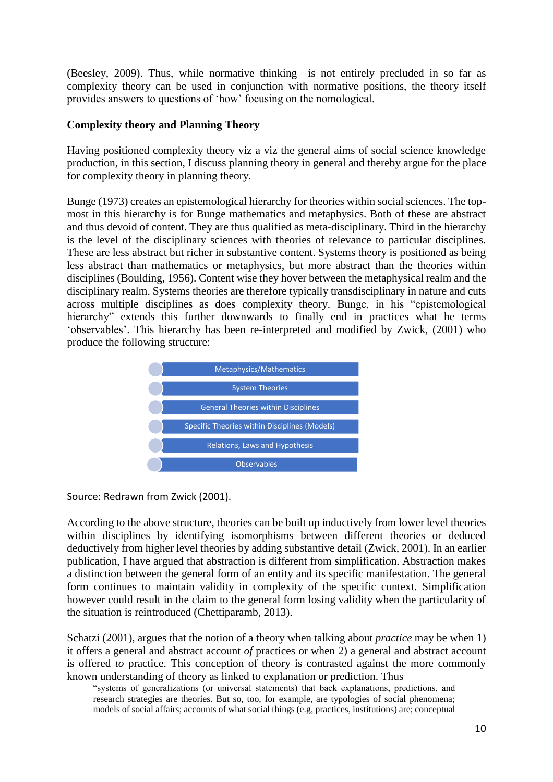(Beesley, 2009). Thus, while normative thinking is not entirely precluded in so far as complexity theory can be used in conjunction with normative positions, the theory itself provides answers to questions of 'how' focusing on the nomological.

#### **Complexity theory and Planning Theory**

Having positioned complexity theory viz a viz the general aims of social science knowledge production, in this section, I discuss planning theory in general and thereby argue for the place for complexity theory in planning theory.

Bunge (1973) creates an epistemological hierarchy for theories within social sciences. The topmost in this hierarchy is for Bunge mathematics and metaphysics. Both of these are abstract and thus devoid of content. They are thus qualified as meta-disciplinary. Third in the hierarchy is the level of the disciplinary sciences with theories of relevance to particular disciplines. These are less abstract but richer in substantive content. Systems theory is positioned as being less abstract than mathematics or metaphysics, but more abstract than the theories within disciplines (Boulding, 1956). Content wise they hover between the metaphysical realm and the disciplinary realm. Systems theories are therefore typically transdisciplinary in nature and cuts across multiple disciplines as does complexity theory. Bunge, in his "epistemological hierarchy" extends this further downwards to finally end in practices what he terms 'observables'. This hierarchy has been re-interpreted and modified by Zwick, (2001) who produce the following structure:



Source: Redrawn from Zwick (2001).

According to the above structure, theories can be built up inductively from lower level theories within disciplines by identifying isomorphisms between different theories or deduced deductively from higher level theories by adding substantive detail (Zwick, 2001). In an earlier publication, I have argued that abstraction is different from simplification. Abstraction makes a distinction between the general form of an entity and its specific manifestation. The general form continues to maintain validity in complexity of the specific context. Simplification however could result in the claim to the general form losing validity when the particularity of the situation is reintroduced (Chettiparamb, 2013).

Schatzi (2001), argues that the notion of a theory when talking about *practice* may be when 1) it offers a general and abstract account *of* practices or when 2) a general and abstract account is offered *to* practice. This conception of theory is contrasted against the more commonly known understanding of theory as linked to explanation or prediction. Thus

"systems of generalizations (or universal statements) that back explanations, predictions, and research strategies are theories. But so, too, for example, are typologies of social phenomena; models of social affairs; accounts of what social things (e.g, practices, institutions) are; conceptual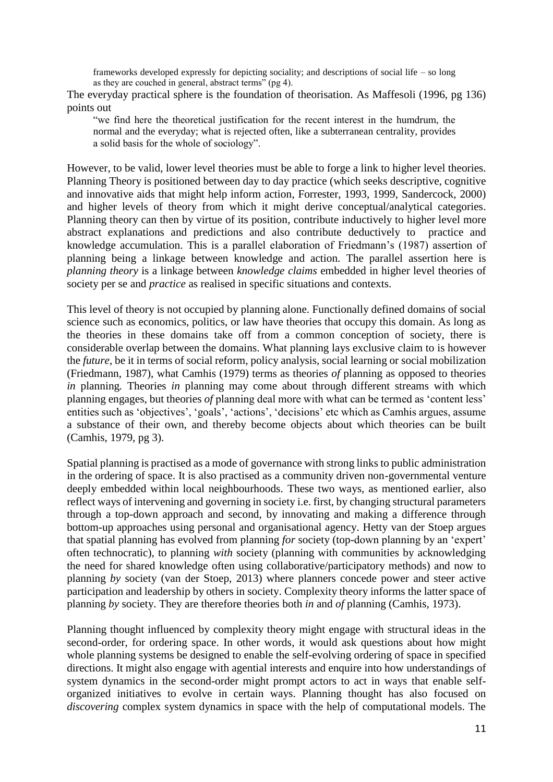frameworks developed expressly for depicting sociality; and descriptions of social life – so long as they are couched in general, abstract terms" (pg 4).

The everyday practical sphere is the foundation of theorisation. As Maffesoli (1996, pg 136) points out

"we find here the theoretical justification for the recent interest in the humdrum, the normal and the everyday; what is rejected often, like a subterranean centrality, provides a solid basis for the whole of sociology".

However, to be valid, lower level theories must be able to forge a link to higher level theories. Planning Theory is positioned between day to day practice (which seeks descriptive, cognitive and innovative aids that might help inform action, Forrester, 1993, 1999, Sandercock, 2000) and higher levels of theory from which it might derive conceptual/analytical categories. Planning theory can then by virtue of its position, contribute inductively to higher level more abstract explanations and predictions and also contribute deductively to practice and knowledge accumulation. This is a parallel elaboration of Friedmann's (1987) assertion of planning being a linkage between knowledge and action. The parallel assertion here is *planning theory* is a linkage between *knowledge claims* embedded in higher level theories of society per se and *practice* as realised in specific situations and contexts.

This level of theory is not occupied by planning alone. Functionally defined domains of social science such as economics, politics, or law have theories that occupy this domain. As long as the theories in these domains take off from a common conception of society, there is considerable overlap between the domains. What planning lays exclusive claim to is however the *future*, be it in terms of social reform, policy analysis, social learning or social mobilization (Friedmann, 1987), what Camhis (1979) terms as theories *of* planning as opposed to theories *in* planning*.* Theories *in* planning may come about through different streams with which planning engages, but theories *of* planning deal more with what can be termed as 'content less' entities such as 'objectives', 'goals', 'actions', 'decisions' etc which as Camhis argues, assume a substance of their own, and thereby become objects about which theories can be built (Camhis, 1979, pg 3).

Spatial planning is practised as a mode of governance with strong links to public administration in the ordering of space. It is also practised as a community driven non-governmental venture deeply embedded within local neighbourhoods. These two ways, as mentioned earlier, also reflect ways of intervening and governing in society i.e. first, by changing structural parameters through a top-down approach and second, by innovating and making a difference through bottom-up approaches using personal and organisational agency. Hetty van der Stoep argues that spatial planning has evolved from planning *for* society (top-down planning by an 'expert' often technocratic), to planning *with* society (planning with communities by acknowledging the need for shared knowledge often using collaborative/participatory methods) and now to planning *by* society (van der Stoep, 2013) where planners concede power and steer active participation and leadership by others in society. Complexity theory informs the latter space of planning *by* society. They are therefore theories both *in* and *of* planning (Camhis, 1973).

Planning thought influenced by complexity theory might engage with structural ideas in the second-order, for ordering space. In other words, it would ask questions about how might whole planning systems be designed to enable the self-evolving ordering of space in specified directions. It might also engage with agential interests and enquire into how understandings of system dynamics in the second-order might prompt actors to act in ways that enable selforganized initiatives to evolve in certain ways. Planning thought has also focused on *discovering* complex system dynamics in space with the help of computational models. The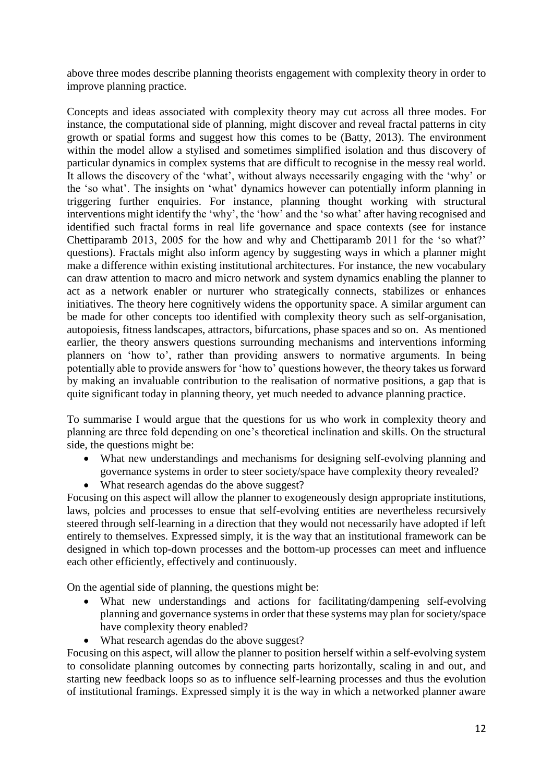above three modes describe planning theorists engagement with complexity theory in order to improve planning practice.

Concepts and ideas associated with complexity theory may cut across all three modes. For instance, the computational side of planning, might discover and reveal fractal patterns in city growth or spatial forms and suggest how this comes to be (Batty, 2013). The environment within the model allow a stylised and sometimes simplified isolation and thus discovery of particular dynamics in complex systems that are difficult to recognise in the messy real world. It allows the discovery of the 'what', without always necessarily engaging with the 'why' or the 'so what'. The insights on 'what' dynamics however can potentially inform planning in triggering further enquiries. For instance, planning thought working with structural interventions might identify the 'why', the 'how' and the 'so what' after having recognised and identified such fractal forms in real life governance and space contexts (see for instance Chettiparamb 2013, 2005 for the how and why and Chettiparamb 2011 for the 'so what?' questions). Fractals might also inform agency by suggesting ways in which a planner might make a difference within existing institutional architectures. For instance, the new vocabulary can draw attention to macro and micro network and system dynamics enabling the planner to act as a network enabler or nurturer who strategically connects, stabilizes or enhances initiatives. The theory here cognitively widens the opportunity space. A similar argument can be made for other concepts too identified with complexity theory such as self-organisation, autopoiesis, fitness landscapes, attractors, bifurcations, phase spaces and so on. As mentioned earlier, the theory answers questions surrounding mechanisms and interventions informing planners on 'how to', rather than providing answers to normative arguments. In being potentially able to provide answers for 'how to' questions however, the theory takes us forward by making an invaluable contribution to the realisation of normative positions, a gap that is quite significant today in planning theory, yet much needed to advance planning practice.

To summarise I would argue that the questions for us who work in complexity theory and planning are three fold depending on one's theoretical inclination and skills. On the structural side, the questions might be:

- What new understandings and mechanisms for designing self-evolving planning and governance systems in order to steer society/space have complexity theory revealed?
- What research agendas do the above suggest?

Focusing on this aspect will allow the planner to exogeneously design appropriate institutions, laws, polcies and processes to ensue that self-evolving entities are nevertheless recursively steered through self-learning in a direction that they would not necessarily have adopted if left entirely to themselves. Expressed simply, it is the way that an institutional framework can be designed in which top-down processes and the bottom-up processes can meet and influence each other efficiently, effectively and continuously.

On the agential side of planning, the questions might be:

- What new understandings and actions for facilitating/dampening self-evolving planning and governance systems in order that these systems may plan for society/space have complexity theory enabled?
- What research agendas do the above suggest?

Focusing on this aspect, will allow the planner to position herself within a self-evolving system to consolidate planning outcomes by connecting parts horizontally, scaling in and out, and starting new feedback loops so as to influence self-learning processes and thus the evolution of institutional framings. Expressed simply it is the way in which a networked planner aware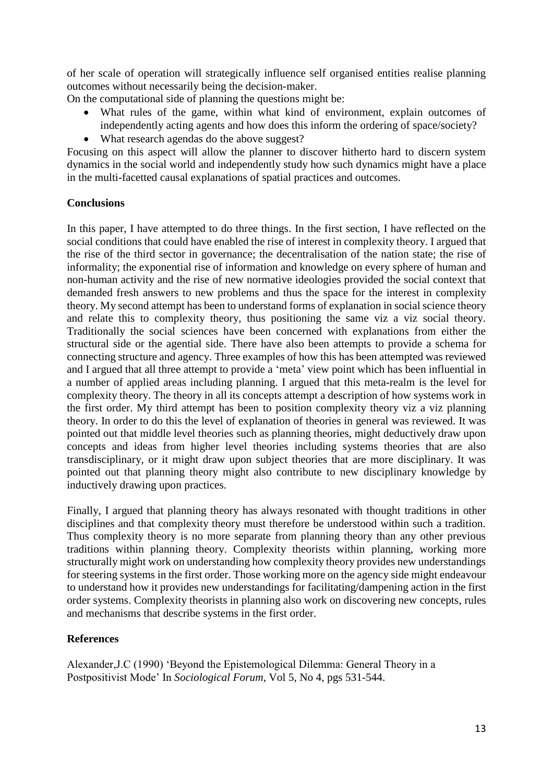of her scale of operation will strategically influence self organised entities realise planning outcomes without necessarily being the decision-maker.

On the computational side of planning the questions might be:

- What rules of the game, within what kind of environment, explain outcomes of independently acting agents and how does this inform the ordering of space/society?
- What research agendas do the above suggest?

Focusing on this aspect will allow the planner to discover hitherto hard to discern system dynamics in the social world and independently study how such dynamics might have a place in the multi-facetted causal explanations of spatial practices and outcomes.

#### **Conclusions**

In this paper, I have attempted to do three things. In the first section, I have reflected on the social conditions that could have enabled the rise of interest in complexity theory. I argued that the rise of the third sector in governance; the decentralisation of the nation state; the rise of informality; the exponential rise of information and knowledge on every sphere of human and non-human activity and the rise of new normative ideologies provided the social context that demanded fresh answers to new problems and thus the space for the interest in complexity theory. My second attempt has been to understand forms of explanation in social science theory and relate this to complexity theory, thus positioning the same viz a viz social theory. Traditionally the social sciences have been concerned with explanations from either the structural side or the agential side. There have also been attempts to provide a schema for connecting structure and agency. Three examples of how this has been attempted was reviewed and I argued that all three attempt to provide a 'meta' view point which has been influential in a number of applied areas including planning. I argued that this meta-realm is the level for complexity theory. The theory in all its concepts attempt a description of how systems work in the first order. My third attempt has been to position complexity theory viz a viz planning theory. In order to do this the level of explanation of theories in general was reviewed. It was pointed out that middle level theories such as planning theories, might deductively draw upon concepts and ideas from higher level theories including systems theories that are also transdisciplinary, or it might draw upon subject theories that are more disciplinary. It was pointed out that planning theory might also contribute to new disciplinary knowledge by inductively drawing upon practices.

Finally, I argued that planning theory has always resonated with thought traditions in other disciplines and that complexity theory must therefore be understood within such a tradition. Thus complexity theory is no more separate from planning theory than any other previous traditions within planning theory. Complexity theorists within planning, working more structurally might work on understanding how complexity theory provides new understandings for steering systems in the first order. Those working more on the agency side might endeavour to understand how it provides new understandings for facilitating/dampening action in the first order systems. Complexity theorists in planning also work on discovering new concepts, rules and mechanisms that describe systems in the first order.

## **References**

Alexander,J.C (1990) 'Beyond the Epistemological Dilemma: General Theory in a Postpositivist Mode' In *Sociological Forum,* Vol 5, No 4, pgs 531-544.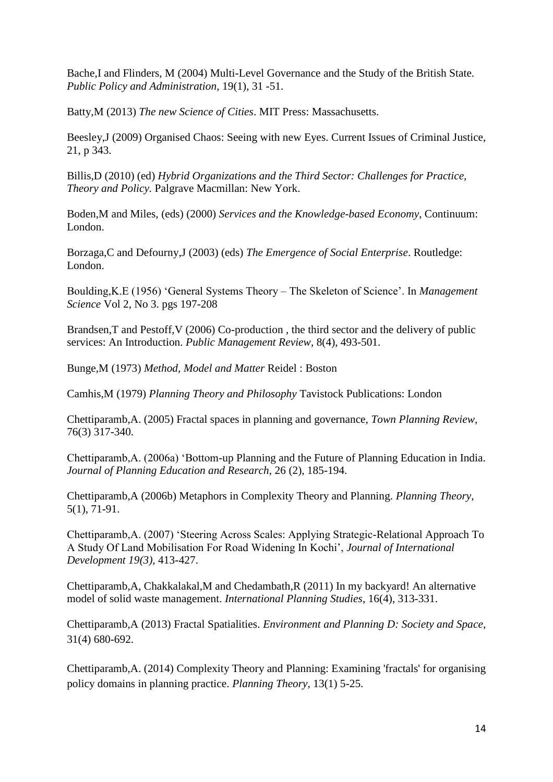Bache,I and Flinders, M (2004) Multi-Level Governance and the Study of the British State. *Public Policy and Administration*, 19(1), 31 -51.

Batty,M (2013) *The new Science of Cities*. MIT Press: Massachusetts.

Beesley,J (2009) Organised Chaos: Seeing with new Eyes. Current Issues of Criminal Justice, 21, p 343.

Billis,D (2010) (ed) *Hybrid Organizations and the Third Sector: Challenges for Practice, Theory and Policy.* Palgrave Macmillan: New York.

Boden,M and Miles, (eds) (2000) *Services and the Knowledge-based Economy*, Continuum: London.

Borzaga,C and Defourny,J (2003) (eds) *The Emergence of Social Enterprise*. Routledge: London.

Boulding,K.E (1956) 'General Systems Theory – The Skeleton of Science'. In *Management Science* Vol 2, No 3. pgs 197-208

Brandsen,T and Pestoff,V (2006) Co-production , the third sector and the delivery of public services: An Introduction. *Public Management Review*, 8(4), 493-501.

Bunge,M (1973) *Method, Model and Matter* Reidel : Boston

Camhis,M (1979) *Planning Theory and Philosophy* Tavistock Publications: London

Chettiparamb,A. (2005) Fractal spaces in planning and governance, *Town Planning Review,*  76(3) 317-340.

Chettiparamb,A. (2006a) 'Bottom-up Planning and the Future of Planning Education in India. *Journal of Planning Education and Research,* 26 (2), 185-194.

Chettiparamb,A (2006b) Metaphors in Complexity Theory and Planning. *Planning Theory*, 5(1), 71-91.

Chettiparamb,A. (2007) 'Steering Across Scales: Applying Strategic-Relational Approach To A Study Of Land Mobilisation For Road Widening In Kochi', *Journal of International Development 19(3),* 413-427.

Chettiparamb,A, Chakkalakal,M and Chedambath,R (2011) In my backyard! An alternative model of solid waste management. *International Planning Studies*, 16(4), 313-331.

Chettiparamb,A (2013) Fractal Spatialities. *Environment and Planning D: Society and Space*, 31(4) 680-692.

Chettiparamb,A. (2014) Complexity Theory and Planning: Examining 'fractals' for organising policy domains in planning practice. *Planning Theory*, 13(1) 5-25.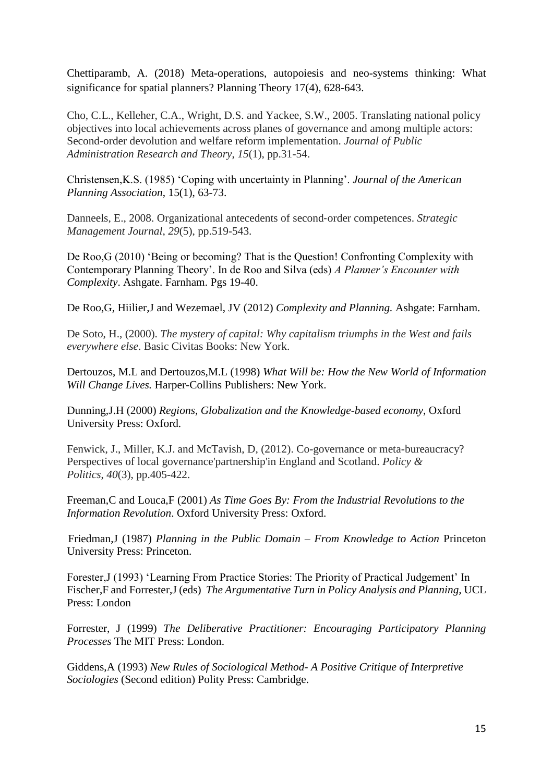Chettiparamb, A. (2018) Meta-operations, autopoiesis and neo-systems thinking: What significance for spatial planners? Planning Theory 17(4), 628-643.

Cho, C.L., Kelleher, C.A., Wright, D.S. and Yackee, S.W., 2005. Translating national policy objectives into local achievements across planes of governance and among multiple actors: Second-order devolution and welfare reform implementation. *Journal of Public Administration Research and Theory*, *15*(1), pp.31-54.

Christensen,K.S. (1985) 'Coping with uncertainty in Planning'. *Journal of the American Planning Association*, 15(1), 63-73.

Danneels, E., 2008. Organizational antecedents of second‐order competences. *Strategic Management Journal*, *29*(5), pp.519-543.

De Roo,G (2010) 'Being or becoming? That is the Question! Confronting Complexity with Contemporary Planning Theory'. In de Roo and Silva (eds) *A Planner's Encounter with Complexity*. Ashgate. Farnham. Pgs 19-40.

De Roo,G, Hiilier,J and Wezemael, JV (2012) *Complexity and Planning.* Ashgate: Farnham.

De Soto, H., (2000). *The mystery of capital: Why capitalism triumphs in the West and fails everywhere else*. Basic Civitas Books: New York.

Dertouzos, M.L and Dertouzos,M.L (1998) *What Will be: How the New World of Information Will Change Lives.* Harper-Collins Publishers: New York.

Dunning,J.H (2000) *Regions, Globalization and the Knowledge-based economy*, Oxford University Press: Oxford.

Fenwick, J., Miller, K.J. and McTavish, D, (2012). Co-governance or meta-bureaucracy? Perspectives of local governance'partnership'in England and Scotland. *Policy & Politics*, *40*(3), pp.405-422.

Freeman,C and Louca,F (2001) *As Time Goes By: From the Industrial Revolutions to the Information Revolution*. Oxford University Press: Oxford.

Friedman,J (1987) *Planning in the Public Domain – From Knowledge to Action* Princeton University Press: Princeton.

Forester,J (1993) 'Learning From Practice Stories: The Priority of Practical Judgement' In Fischer,F and Forrester,J (eds) *The Argumentative Turn in Policy Analysis and Planning,* UCL Press: London

Forrester, J (1999) *The Deliberative Practitioner: Encouraging Participatory Planning Processes* The MIT Press: London.

Giddens,A (1993) *New Rules of Sociological Method- A Positive Critique of Interpretive Sociologies* (Second edition) Polity Press: Cambridge.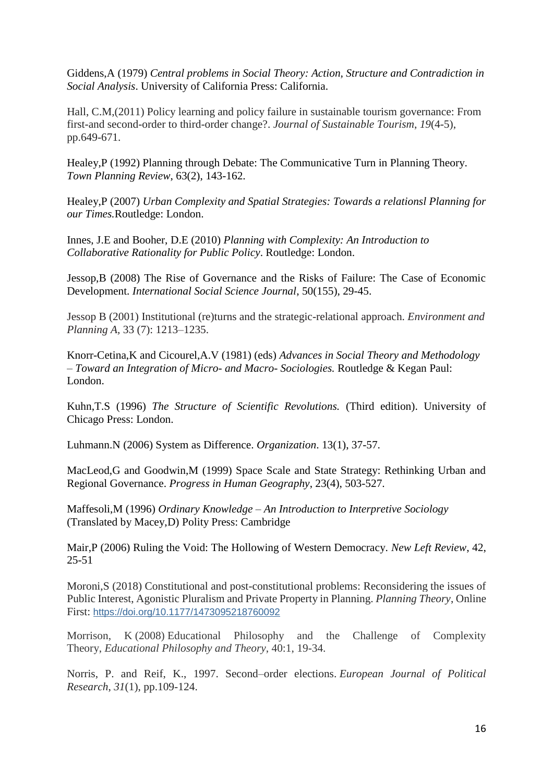Giddens,A (1979) *Central problems in Social Theory: Action, Structure and Contradiction in Social Analysis*. University of California Press: California.

Hall, C.M,(2011) Policy learning and policy failure in sustainable tourism governance: From first-and second-order to third-order change?. *Journal of Sustainable Tourism*, *19*(4-5), pp.649-671.

Healey,P (1992) Planning through Debate: The Communicative Turn in Planning Theory. *Town Planning Review*, 63(2), 143-162.

Healey,P (2007) *Urban Complexity and Spatial Strategies: Towards a relationsl Planning for our Times.*Routledge: London.

Innes, J.E and Booher, D.E (2010) *Planning with Complexity: An Introduction to Collaborative Rationality for Public Policy*. Routledge: London.

Jessop,B (2008) The Rise of Governance and the Risks of Failure: The Case of Economic Development. *International Social Science Journal*, 50(155), 29-45.

Jessop B (2001) Institutional (re)turns and the strategic-relational approach. *Environment and Planning A,* 33 (7): 1213–1235.

Knorr-Cetina,K and Cicourel,A.V (1981) (eds) *Advances in Social Theory and Methodology – Toward an Integration of Micro- and Macro- Sociologies.* Routledge & Kegan Paul: London.

Kuhn,T.S (1996) *The Structure of Scientific Revolutions.* (Third edition). University of Chicago Press: London.

Luhmann.N (2006) System as Difference. *Organization*. 13(1), 37-57.

MacLeod,G and Goodwin,M (1999) Space Scale and State Strategy: Rethinking Urban and Regional Governance. *Progress in Human Geography*, 23(4), 503-527.

Maffesoli,M (1996) *Ordinary Knowledge – An Introduction to Interpretive Sociology* (Translated by Macey,D) Polity Press: Cambridge

Mair,P (2006) Ruling the Void: The Hollowing of Western Democracy. *New Left Review*, 42, 25-51

Moroni,S (2018) Constitutional and post-constitutional problems: Reconsidering the issues of Public Interest, Agonistic Pluralism and Private Property in Planning. *Planning Theory*, Online First: <https://doi.org/10.1177/1473095218760092>

Morrison, K (2008) Educational Philosophy and the Challenge of Complexity Theory, *Educational Philosophy and Theory*, 40:1, 19-34.

Norris, P. and Reif, K., 1997. Second–order elections. *European Journal of Political Research*, *31*(1), pp.109-124.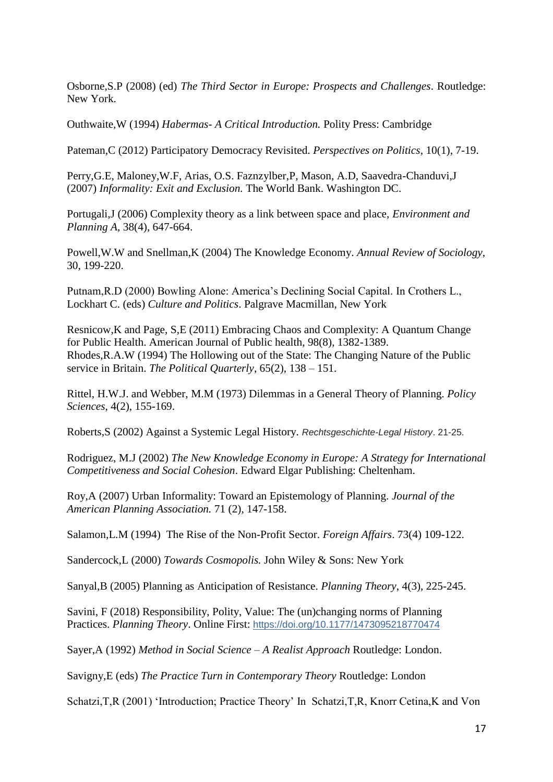Osborne,S.P (2008) (ed) *The Third Sector in Europe: Prospects and Challenges*. Routledge: New York.

Outhwaite,W (1994) *Habermas- A Critical Introduction.* Polity Press: Cambridge

Pateman,C (2012) Participatory Democracy Revisited. *Perspectives on Politics*, 10(1), 7-19.

Perry,G.E, Maloney,W.F, Arias, O.S. Faznzylber,P, Mason, A.D, Saavedra-Chanduvi,J (2007) *Informality: Exit and Exclusion.* The World Bank. Washington DC.

Portugali,J (2006) Complexity theory as a link between space and place, *Environment and Planning A*, 38(4), 647-664.

Powell,W.W and Snellman,K (2004) The Knowledge Economy. *Annual Review of Sociology*, 30, 199-220.

Putnam,R.D (2000) Bowling Alone: America's Declining Social Capital. In Crothers L., Lockhart C. (eds) *Culture and Politics*. Palgrave Macmillan, New York

Resnicow,K and Page, S,E (2011) Embracing Chaos and Complexity: A Quantum Change for Public Health. American Journal of Public health, 98(8), 1382-1389. Rhodes,R.A.W (1994) The Hollowing out of the State: The Changing Nature of the Public service in Britain. *The Political Quarterly*, 65(2), 138 – 151.

Rittel, H.W.J. and Webber, M.M (1973) Dilemmas in a General Theory of Planning. *Policy Sciences*, 4(2), 155-169.

Roberts,S (2002) Against a Systemic Legal History. *Rechtsgeschichte-Legal History*. 21-25.

Rodriguez, M.J (2002) *The New Knowledge Economy in Europe: A Strategy for International Competitiveness and Social Cohesion*. Edward Elgar Publishing: Cheltenham.

Roy,A (2007) Urban Informality: Toward an Epistemology of Planning. *Journal of the American Planning Association.* 71 (2), 147-158.

Salamon,L.M (1994) The Rise of the Non-Profit Sector. *Foreign Affairs*. 73(4) 109-122.

Sandercock,L (2000) *Towards Cosmopolis.* John Wiley & Sons: New York

Sanyal,B (2005) Planning as Anticipation of Resistance. *Planning Theory*, 4(3), 225-245.

Savini, F (2018) Responsibility, Polity, Value: The (un)changing norms of Planning Practices. *Planning Theory*. Online First: <https://doi.org/10.1177/1473095218770474>

Sayer,A (1992) *Method in Social Science – A Realist Approach* Routledge: London.

Savigny,E (eds) *The Practice Turn in Contemporary Theory* Routledge: London

Schatzi,T,R (2001) 'Introduction; Practice Theory' In Schatzi,T,R, Knorr Cetina,K and Von